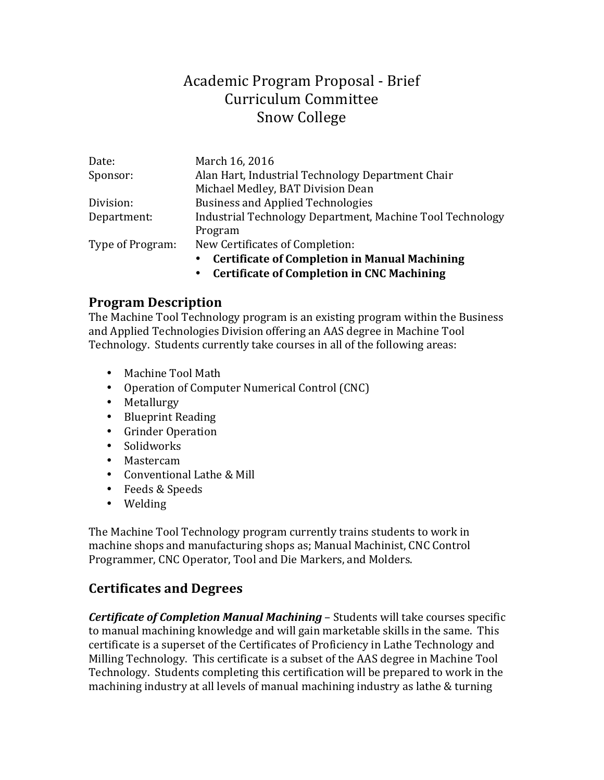# Academic Program Proposal - Brief Curriculum Committee Snow College

| Date:            | March 16, 2016                                            |
|------------------|-----------------------------------------------------------|
| Sponsor:         | Alan Hart, Industrial Technology Department Chair         |
|                  | Michael Medley, BAT Division Dean                         |
| Division:        | <b>Business and Applied Technologies</b>                  |
| Department:      | Industrial Technology Department, Machine Tool Technology |
|                  | Program                                                   |
| Type of Program: | New Certificates of Completion:                           |
|                  | • Certificate of Completion in Manual Machining           |

- **Certificate of Completion in Manual Machining**
- Certificate of Completion in CNC Machining

## **Program Description**

The Machine Tool Technology program is an existing program within the Business and Applied Technologies Division offering an AAS degree in Machine Tool Technology. Students currently take courses in all of the following areas:

- Machine Tool Math
- Operation of Computer Numerical Control (CNC)
- Metallurgy
- Blueprint Reading
- Grinder Operation
- Solidworks
- Mastercam
- Conventional Lathe & Mill
- Feeds & Speeds
- Welding

The Machine Tool Technology program currently trains students to work in machine shops and manufacturing shops as; Manual Machinist, CNC Control Programmer, CNC Operator, Tool and Die Markers, and Molders.

## **Certificates and Degrees**

*Certificate of Completion Manual Machining* - Students will take courses specific to manual machining knowledge and will gain marketable skills in the same. This certificate is a superset of the Certificates of Proficiency in Lathe Technology and Milling Technology. This certificate is a subset of the AAS degree in Machine Tool Technology. Students completing this certification will be prepared to work in the machining industry at all levels of manual machining industry as lathe & turning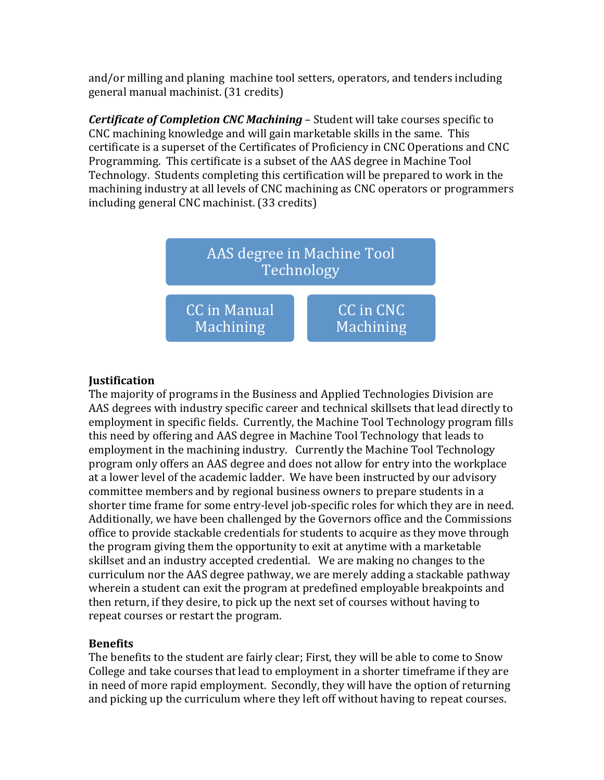and/or milling and planing machine tool setters, operators, and tenders including general manual machinist. (31 credits)

*Certificate of Completion CNC Machining* – Student will take courses specific to CNC machining knowledge and will gain marketable skills in the same. This certificate is a superset of the Certificates of Proficiency in CNC Operations and CNC Programming. This certificate is a subset of the AAS degree in Machine Tool Technology. Students completing this certification will be prepared to work in the machining industry at all levels of CNC machining as CNC operators or programmers including general CNC machinist. (33 credits)



#### **Justification**

The majority of programs in the Business and Applied Technologies Division are AAS degrees with industry specific career and technical skillsets that lead directly to employment in specific fields. Currently, the Machine Tool Technology program fills this need by offering and AAS degree in Machine Tool Technology that leads to employment in the machining industry. Currently the Machine Tool Technology program only offers an AAS degree and does not allow for entry into the workplace at a lower level of the academic ladder. We have been instructed by our advisory committee members and by regional business owners to prepare students in a shorter time frame for some entry-level job-specific roles for which they are in need. Additionally, we have been challenged by the Governors office and the Commissions office to provide stackable credentials for students to acquire as they move through the program giving them the opportunity to exit at anytime with a marketable skillset and an industry accepted credential. We are making no changes to the curriculum nor the AAS degree pathway, we are merely adding a stackable pathway wherein a student can exit the program at predefined employable breakpoints and then return, if they desire, to pick up the next set of courses without having to repeat courses or restart the program.

#### **Benefits**

The benefits to the student are fairly clear; First, they will be able to come to Snow College and take courses that lead to employment in a shorter timeframe if they are in need of more rapid employment. Secondly, they will have the option of returning and picking up the curriculum where they left off without having to repeat courses.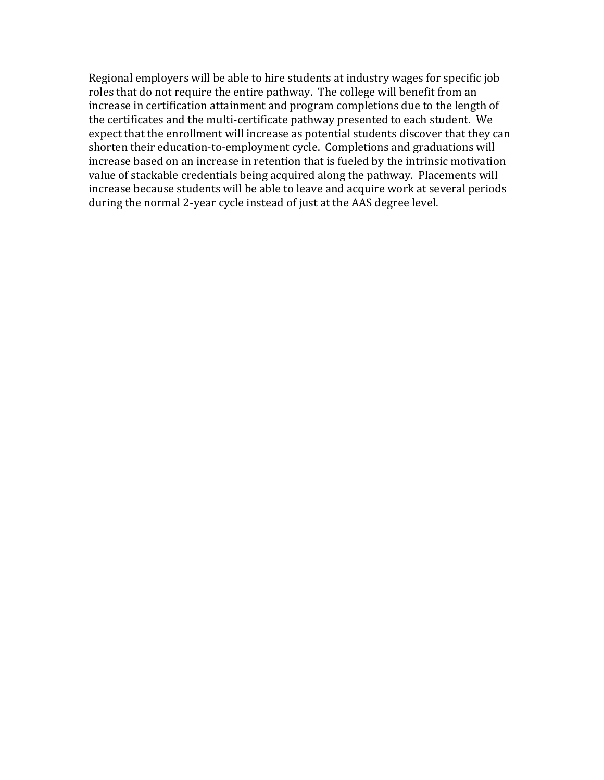Regional employers will be able to hire students at industry wages for specific job roles that do not require the entire pathway. The college will benefit from an increase in certification attainment and program completions due to the length of the certificates and the multi-certificate pathway presented to each student. We expect that the enrollment will increase as potential students discover that they can shorten their education-to-employment cycle. Completions and graduations will increase based on an increase in retention that is fueled by the intrinsic motivation value of stackable credentials being acquired along the pathway. Placements will increase because students will be able to leave and acquire work at several periods during the normal 2-year cycle instead of just at the AAS degree level.